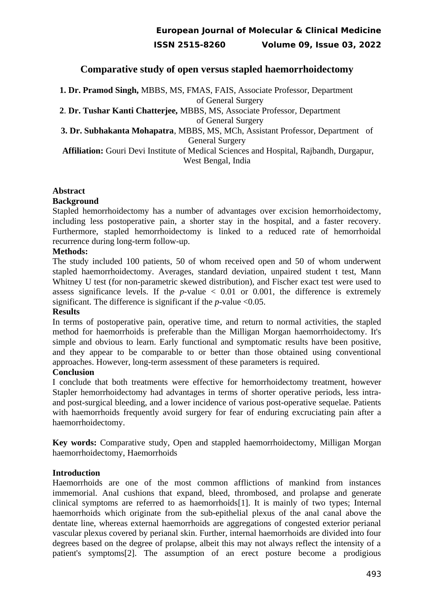## **Comparative study of open versus stapled haemorrhoidectomy**

**1. Dr. Pramod Singh,** MBBS, MS, FMAS, FAIS, Associate Professor, Department of General Surgery

**2**. **Dr. Tushar Kanti Chatterjee,** MBBS, MS, Associate Professor, Department

of General Surgery

**3. Dr. Subhakanta Mohapatra**, MBBS, MS, MCh, Assistant Professor, Department of General Surgery

 **Affiliation:** Gouri Devi Institute of Medical Sciences and Hospital, Rajbandh, Durgapur, West Bengal, India

### **Abstract**

### **Background**

Stapled hemorrhoidectomy has a number of advantages over excision hemorrhoidectomy, including less postoperative pain, a shorter stay in the hospital, and a faster recovery. Furthermore, stapled hemorrhoidectomy is linked to a reduced rate of hemorrhoidal recurrence during long-term follow-up.

#### **Methods:**

The study included 100 patients, 50 of whom received open and 50 of whom underwent stapled haemorrhoidectomy. Averages, standard deviation, unpaired student t test, Mann Whitney U test (for non-parametric skewed distribution), and Fischer exact test were used to assess significance levels. If the  $p$ -value  $\leq$  0.01 or 0.001, the difference is extremely significant. The difference is significant if the *p*-value ˂0.05.

#### **Results**

In terms of postoperative pain, operative time, and return to normal activities, the stapled method for haemorrhoids is preferable than the Milligan Morgan haemorrhoidectomy. It's simple and obvious to learn. Early functional and symptomatic results have been positive, and they appear to be comparable to or better than those obtained using conventional approaches. However, long-term assessment of these parameters is required.

#### **Conclusion**

I conclude that both treatments were effective for hemorrhoidectomy treatment, however Stapler hemorrhoidectomy had advantages in terms of shorter operative periods, less intraand post-surgical bleeding, and a lower incidence of various post-operative sequelae. Patients with haemorrhoids frequently avoid surgery for fear of enduring excruciating pain after a haemorrhoidectomy.

**Key words:** Comparative study, Open and stappled haemorrhoidectomy, Milligan Morgan haemorrhoidectomy, Haemorrhoids

## **Introduction**

Haemorrhoids are one of the most common afflictions of mankind from instances immemorial. Anal cushions that expand, bleed, thrombosed, and prolapse and generate clinical symptoms are referred to as haemorrhoids[1]. It is mainly of two types; Internal haemorrhoids which originate from the sub-epithelial plexus of the anal canal above the dentate line, whereas external haemorrhoids are aggregations of congested exterior perianal vascular plexus covered by perianal skin. Further, internal haemorrhoids are divided into four degrees based on the degree of prolapse, albeit this may not always reflect the intensity of a patient's symptoms[2]. The assumption of an erect posture become a prodigious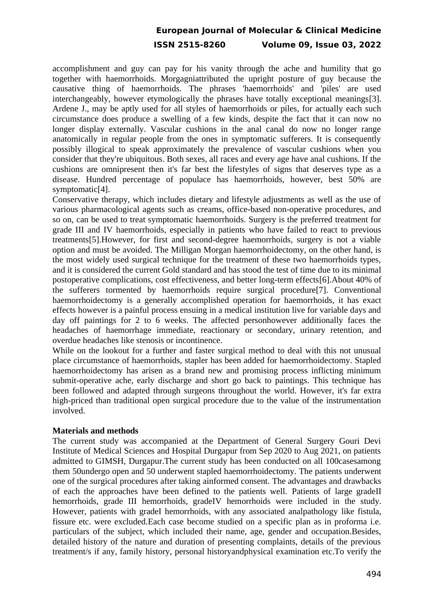accomplishment and guy can pay for his vanity through the ache and humility that go together with haemorrhoids. Morgagniattributed the upright posture of guy because the causative thing of haemorrhoids. The phrases 'haemorrhoids' and 'piles' are used interchangeably, however etymologically the phrases have totally exceptional meanings[3]. Ardene J., may be aptly used for all styles of haemorrhoids or piles, for actually each such circumstance does produce a swelling of a few kinds, despite the fact that it can now no longer display externally. Vascular cushions in the anal canal do now no longer range anatomically in regular people from the ones in symptomatic sufferers. It is consequently possibly illogical to speak approximately the prevalence of vascular cushions when you consider that they're ubiquitous. Both sexes, all races and every age have anal cushions. If the cushions are omnipresent then it's far best the lifestyles of signs that deserves type as a disease. Hundred percentage of populace has haemorrhoids, however, best 50% are symptomatic[4].

Conservative therapy, which includes dietary and lifestyle adjustments as well as the use of various pharmacological agents such as creams, office-based non-operative procedures, and so on, can be used to treat symptomatic haemorrhoids. Surgery is the preferred treatment for grade III and IV haemorrhoids, especially in patients who have failed to react to previous treatments[5].However, for first and second-degree haemorrhoids, surgery is not a viable option and must be avoided. The Milligan Morgan haemorrhoidectomy, on the other hand, is the most widely used surgical technique for the treatment of these two haemorrhoids types, and it is considered the current Gold standard and has stood the test of time due to its minimal postoperative complications, cost effectiveness, and better long-term effects[6].About 40% of the sufferers tormented by haemorrhoids require surgical procedure[7]. Conventional haemorrhoidectomy is a generally accomplished operation for haemorrhoids, it has exact effects however is a painful process ensuing in a medical institution live for variable days and day off paintings for 2 to 6 weeks. The affected personhowever additionally faces the headaches of haemorrhage immediate, reactionary or secondary, urinary retention, and overdue headaches like stenosis or incontinence.

While on the lookout for a further and faster surgical method to deal with this not unusual place circumstance of haemorrhoids, stapler has been added for haemorrhoidectomy. Stapled haemorrhoidectomy has arisen as a brand new and promising process inflicting minimum submit-operative ache, early discharge and short go back to paintings. This technique has been followed and adapted through surgeons throughout the world. However, it's far extra high-priced than traditional open surgical procedure due to the value of the instrumentation involved.

#### **Materials and methods**

The current study was accompanied at the Department of General Surgery Gouri Devi Institute of Medical Sciences and Hospital Durgapur from Sep 2020 to Aug 2021, on patients admitted to GIMSH, Durgapur.The current study has been conducted on all 100casesamong them 50undergo open and 50 underwent stapled haemorrhoidectomy. The patients underwent one of the surgical procedures after taking ainformed consent. The advantages and drawbacks of each the approaches have been defined to the patients well. Patients of large gradeII hemorrhoids, grade III hemorrhoids, gradeIV hemorrhoids were included in the study. However, patients with gradeI hemorrhoids, with any associated analpathology like fistula, fissure etc. were excluded.Each case become studied on a specific plan as in proforma i.e. particulars of the subject, which included their name, age, gender and occupation.Besides, detailed history of the nature and duration of presenting complaints, details of the previous treatment/s if any, family history, personal historyandphysical examination etc.To verify the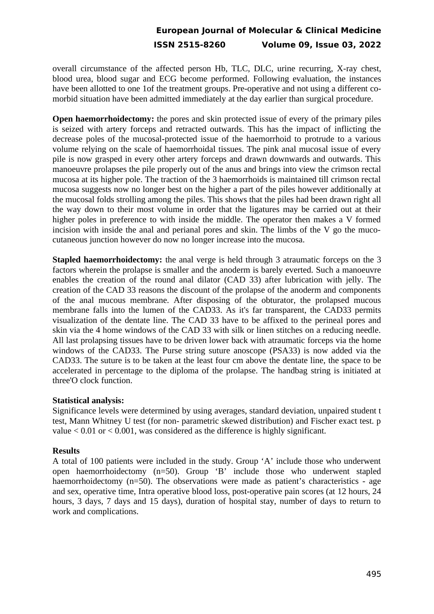overall circumstance of the affected person Hb, TLC, DLC, urine recurring, X-ray chest, blood urea, blood sugar and ECG become performed. Following evaluation, the instances have been allotted to one 1of the treatment groups. Pre-operative and not using a different comorbid situation have been admitted immediately at the day earlier than surgical procedure.

**Open haemorrhoidectomy:** the pores and skin protected issue of every of the primary piles is seized with artery forceps and retracted outwards. This has the impact of inflicting the decrease poles of the mucosal-protected issue of the haemorrhoid to protrude to a various volume relying on the scale of haemorrhoidal tissues. The pink anal mucosal issue of every pile is now grasped in every other artery forceps and drawn downwards and outwards. This manoeuvre prolapses the pile properly out of the anus and brings into view the crimson rectal mucosa at its higher pole. The traction of the 3 haemorrhoids is maintained till crimson rectal mucosa suggests now no longer best on the higher a part of the piles however additionally at the mucosal folds strolling among the piles. This shows that the piles had been drawn right all the way down to their most volume in order that the ligatures may be carried out at their higher poles in preference to with inside the middle. The operator then makes a V formed incision with inside the anal and perianal pores and skin. The limbs of the V go the mucocutaneous junction however do now no longer increase into the mucosa.

**Stapled haemorrhoidectomy:** the anal verge is held through 3 atraumatic forceps on the 3 factors wherein the prolapse is smaller and the anoderm is barely everted. Such a manoeuvre enables the creation of the round anal dilator (CAD 33) after lubrication with jelly. The creation of the CAD 33 reasons the discount of the prolapse of the anoderm and components of the anal mucous membrane. After disposing of the obturator, the prolapsed mucous membrane falls into the lumen of the CAD33. As it's far transparent, the CAD33 permits visualization of the dentate line. The CAD 33 have to be affixed to the perineal pores and skin via the 4 home windows of the CAD 33 with silk or linen stitches on a reducing needle. All last prolapsing tissues have to be driven lower back with atraumatic forceps via the home windows of the CAD33. The Purse string suture anoscope (PSA33) is now added via the CAD33. The suture is to be taken at the least four cm above the dentate line, the space to be accelerated in percentage to the diploma of the prolapse. The handbag string is initiated at three'O clock function.

#### **Statistical analysis:**

Significance levels were determined by using averages, standard deviation, unpaired student t test, Mann Whitney U test (for non- parametric skewed distribution) and Fischer exact test. p value < 0.01 or < 0.001, was considered as the difference is highly significant.

## **Results**

A total of 100 patients were included in the study. Group 'A' include those who underwent open haemorrhoidectomy (n=50). Group 'B' include those who underwent stapled haemorrhoidectomy (n=50). The observations were made as patient's characteristics - age and sex, operative time, Intra operative blood loss, post-operative pain scores (at 12 hours, 24 hours, 3 days, 7 days and 15 days), duration of hospital stay, number of days to return to work and complications.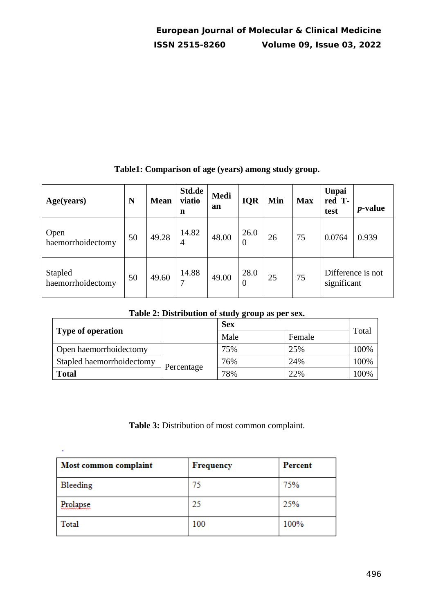| Age(years)                   | N  | <b>Mean</b> | Std.de<br>viatio<br>n | Medi<br>an | <b>IQR</b>             | Min | <b>Max</b> | <b>Unpai</b><br>red T-<br>test   | <i>p</i> -value |
|------------------------------|----|-------------|-----------------------|------------|------------------------|-----|------------|----------------------------------|-----------------|
| Open<br>haemorrhoidectomy    | 50 | 49.28       | 14.82<br>4            | 48.00      | 26.0<br>$\overline{0}$ | 26  | 75         | 0.0764                           | 0.939           |
| Stapled<br>haemorrhoidectomy | 50 | 49.60       | 14.88<br>7            | 49.00      | 28.0<br>$\theta$       | 25  | 75         | Difference is not<br>significant |                 |

## **Table1: Comparison of age (years) among study group.**

# **Table 2: Distribution of study group as per sex.**

|                           |            | <b>Sex</b> |        |       |
|---------------------------|------------|------------|--------|-------|
| <b>Type of operation</b>  |            | Male       | Female | Total |
| Open haemorrhoidectomy    |            | 75%        | 25%    | 100%  |
| Stapled haemorrhoidectomy | Percentage | 76%        | 24%    | 100%  |
| <b>Total</b>              |            | 78%        | 22%    | 100%  |

**Table 3:** Distribution of most common complaint.

| Most common complaint | <b>Frequency</b> | Percent |
|-----------------------|------------------|---------|
| Bleeding              | 75               | 75%     |
| Prolapse              | 25               | 25%     |
| Total                 | 100              | 100%    |

ł,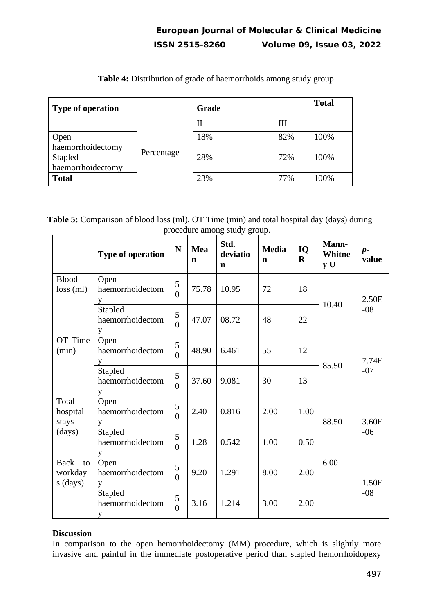| <b>Type of operation</b>     | Grade      |     | <b>Total</b> |      |
|------------------------------|------------|-----|--------------|------|
|                              | Percentage | Н   | Ш            |      |
| Open<br>haemorrhoidectomy    |            | 18% | 82%          | 100% |
| Stapled<br>haemorrhoidectomy |            | 28% | 72%          | 100% |
| <b>Total</b>                 |            | 23% | 77%          | 100% |

**Table 4:** Distribution of grade of haemorrhoids among study group.

 **Table 5:** Comparison of blood loss (ml), OT Time (min) and total hospital day (days) during procedure among study group.  $\overline{a}$ 

|                                          | <b>Type of operation</b>                | N                   | <b>Mea</b><br>$\mathbf n$ | Std.<br>deviatio<br>$\mathbf n$ | <b>Media</b><br>$\mathbf n$ | IQ<br>$\bf{R}$ | Mann-<br><b>Whitne</b><br>y U | $p-$<br>value  |
|------------------------------------------|-----------------------------------------|---------------------|---------------------------|---------------------------------|-----------------------------|----------------|-------------------------------|----------------|
| <b>Blood</b><br>$loss$ (ml)              | Open<br>haemorrhoidectom<br>V           | 5<br>$\theta$       | 75.78                     | 10.95                           | 72                          | 18             | 10.40                         | 2.50E<br>$-08$ |
|                                          | <b>Stapled</b><br>haemorrhoidectom<br>V | 5<br>$\theta$       | 47.07                     | 08.72                           | 48                          | 22             |                               |                |
| OT Time<br>(min)                         | Open<br>haemorrhoidectom<br>V           | 5<br>$\theta$       | 48.90                     | 6.461                           | 55                          | 12             | 85.50                         | 7.74E<br>$-07$ |
|                                          | <b>Stapled</b><br>haemorrhoidectom<br>V | 5<br>$\overline{0}$ | 37.60                     | 9.081                           | 30                          | 13             |                               |                |
| Total<br>hospital<br>stays<br>(days)     | Open<br>haemorrhoidectom<br>V           | 5<br>$\overline{0}$ | 2.40                      | 0.816                           | 2.00                        | 1.00           | 88.50                         | 3.60E<br>$-06$ |
|                                          | Stapled<br>haemorrhoidectom<br>V        | 5<br>$\overline{0}$ | 1.28                      | 0.542                           | 1.00                        | 0.50           |                               |                |
| <b>Back</b><br>to<br>workday<br>s (days) | Open<br>haemorrhoidectom<br>V           | 5<br>$\overline{0}$ | 9.20                      | 1.291                           | 8.00                        | 2.00           | 6.00                          | 1.50E          |
|                                          | Stapled<br>haemorrhoidectom<br>V        | 5<br>$\overline{0}$ | 3.16                      | 1.214                           | 3.00                        | 2.00           |                               | $-08$          |

## **Discussion**

In comparison to the open hemorrhoidectomy (MM) procedure, which is slightly more invasive and painful in the immediate postoperative period than stapled hemorrhoidopexy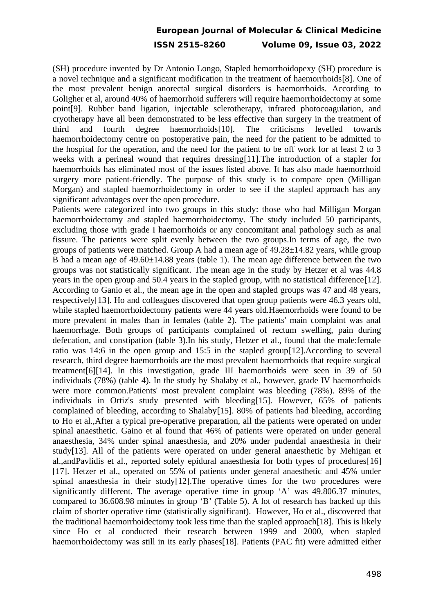(SH) procedure invented by Dr Antonio Longo, Stapled hemorrhoidopexy (SH) procedure is a novel technique and a significant modification in the treatment of haemorrhoids[8]. One of the most prevalent benign anorectal surgical disorders is haemorrhoids. According to Goligher et al, around 40% of haemorrhoid sufferers will require haemorrhoidectomy at some point[9]. Rubber band ligation, injectable sclerotherapy, infrared photocoagulation, and cryotherapy have all been demonstrated to be less effective than surgery in the treatment of third and fourth degree haemorrhoids[10]. The criticisms levelled towards haemorrhoidectomy centre on postoperative pain, the need for the patient to be admitted to the hospital for the operation, and the need for the patient to be off work for at least 2 to 3 weeks with a perineal wound that requires dressing[11].The introduction of a stapler for haemorrhoids has eliminated most of the issues listed above. It has also made haemorrhoid surgery more patient-friendly. The purpose of this study is to compare open (Milligan Morgan) and stapled haemorrhoidectomy in order to see if the stapled approach has any significant advantages over the open procedure.

Patients were categorized into two groups in this study: those who had Milligan Morgan haemorrhoidectomy and stapled haemorrhoidectomy. The study included 50 participants, excluding those with grade I haemorrhoids or any concomitant anal pathology such as anal fissure. The patients were split evenly between the two groups.In terms of age, the two groups of patients were matched. Group A had a mean age of 49.28±14.82 years, while group B had a mean age of 49.60±14.88 years (table 1). The mean age difference between the two groups was not statistically significant. The mean age in the study by Hetzer et al was 44.8 years in the open group and 50.4 years in the stapled group, with no statistical difference[12]. According to Ganio et al., the mean age in the open and stapled groups was 47 and 48 years, respectively[13]. Ho and colleagues discovered that open group patients were 46.3 years old, while stapled haemorrhoidectomy patients were 44 years old.Haemorrhoids were found to be more prevalent in males than in females (table 2). The patients' main complaint was anal haemorrhage. Both groups of participants complained of rectum swelling, pain during defecation, and constipation (table 3).In his study, Hetzer et al., found that the male:female ratio was 14:6 in the open group and 15:5 in the stapled group[12].According to several research, third degree haemorrhoids are the most prevalent haemorrhoids that require surgical treatment[6][14]. In this investigation, grade III haemorrhoids were seen in 39 of 50 individuals (78%) (table 4). In the study by Shalaby et al., however, grade IV haemorrhoids were more common.Patients' most prevalent complaint was bleeding (78%). 89% of the individuals in Ortiz's study presented with bleeding[15]. However, 65% of patients complained of bleeding, according to Shalaby[15]. 80% of patients had bleeding, according to Ho et al.,After a typical pre-operative preparation, all the patients were operated on under spinal anaesthetic. Gaino et al found that 46% of patients were operated on under general anaesthesia, 34% under spinal anaesthesia, and 20% under pudendal anaesthesia in their study[13]. All of the patients were operated on under general anaesthetic by Mehigan et al.,andPavlidis et al., reported solely epidural anaesthesia for both types of procedures[16] [17]. Hetzer et al., operated on 55% of patients under general anaesthetic and 45% under spinal anaesthesia in their study[12].The operative times for the two procedures were significantly different. The average operative time in group 'A' was 49.806.37 minutes, compared to 36.608.98 minutes in group 'B' (Table 5). A lot of research has backed up this claim of shorter operative time (statistically significant). However, Ho et al., discovered that the traditional haemorrhoidectomy took less time than the stapled approach[18]. This is likely since Ho et al conducted their research between 1999 and 2000, when stapled haemorrhoidectomy was still in its early phases[18]. Patients (PAC fit) were admitted either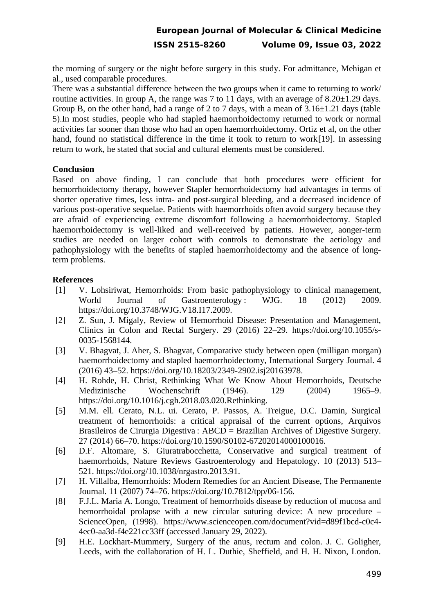the morning of surgery or the night before surgery in this study. For admittance, Mehigan et al., used comparable procedures.

There was a substantial difference between the two groups when it came to returning to work/ routine activities. In group A, the range was 7 to 11 days, with an average of  $8.20\pm1.29$  days. Group B, on the other hand, had a range of 2 to 7 days, with a mean of 3.16±1.21 days (table 5).In most studies, people who had stapled haemorrhoidectomy returned to work or normal activities far sooner than those who had an open haemorrhoidectomy. Ortiz et al, on the other hand, found no statistical difference in the time it took to return to work[19]. In assessing return to work, he stated that social and cultural elements must be considered.

### **Conclusion**

Based on above finding, I can conclude that both procedures were efficient for hemorrhoidectomy therapy, however Stapler hemorrhoidectomy had advantages in terms of shorter operative times, less intra- and post-surgical bleeding, and a decreased incidence of various post-operative sequelae. Patients with haemorrhoids often avoid surgery because they are afraid of experiencing extreme discomfort following a haemorrhoidectomy. Stapled haemorrhoidectomy is well-liked and well-received by patients. However, aonger-term studies are needed on larger cohort with controls to demonstrate the aetiology and pathophysiology with the benefits of stapled haemorrhoidectomy and the absence of longterm problems.

## **References**

- [1] V. Lohsiriwat, Hemorrhoids: From basic pathophysiology to clinical management, World Journal of Gastroenterology: WJG. 18 (2012) 2009. https://doi.org/10.3748/WJG.V18.I17.2009.
- [2] Z. Sun, J. Migaly, Review of Hemorrhoid Disease: Presentation and Management, Clinics in Colon and Rectal Surgery. 29 (2016) 22–29. https://doi.org/10.1055/s-0035-1568144.
- [3] V. Bhagvat, J. Aher, S. Bhagvat, Comparative study between open (milligan morgan) haemorrhoidectomy and stapled haemorrhoidectomy, International Surgery Journal. 4 (2016) 43–52. https://doi.org/10.18203/2349-2902.isj20163978.
- [4] H. Rohde, H. Christ, Rethinking What We Know About Hemorrhoids, Deutsche Medizinische Wochenschrift (1946). 129 (2004) 1965–9. https://doi.org/10.1016/j.cgh.2018.03.020.Rethinking.
- [5] M.M. ell. Cerato, N.L. ui. Cerato, P. Passos, A. Treigue, D.C. Damin, Surgical treatment of hemorrhoids: a critical appraisal of the current options, Arquivos Brasileiros de Cirurgia Digestiva : ABCD = Brazilian Archives of Digestive Surgery. 27 (2014) 66–70. https://doi.org/10.1590/S0102-67202014000100016.
- [6] D.F. Altomare, S. Giuratrabocchetta, Conservative and surgical treatment of haemorrhoids, Nature Reviews Gastroenterology and Hepatology. 10 (2013) 513– 521. https://doi.org/10.1038/nrgastro.2013.91.
- [7] H. Villalba, Hemorrhoids: Modern Remedies for an Ancient Disease, The Permanente Journal. 11 (2007) 74–76. https://doi.org/10.7812/tpp/06-156.
- [8] F.J.L. Maria A. Longo, Treatment of hemorrhoids disease by reduction of mucosa and hemorrhoidal prolapse with a new circular suturing device: A new procedure – ScienceOpen, (1998). https://www.scienceopen.com/document?vid=d89f1bcd-c0c4- 4ec0-aa3d-f4e221cc33ff (accessed January 29, 2022).
- [9] H.E. Lockhart-Mummery, Surgery of the anus, rectum and colon. J. C. Goligher, Leeds, with the collaboration of H. L. Duthie, Sheffield, and H. H. Nixon, London.